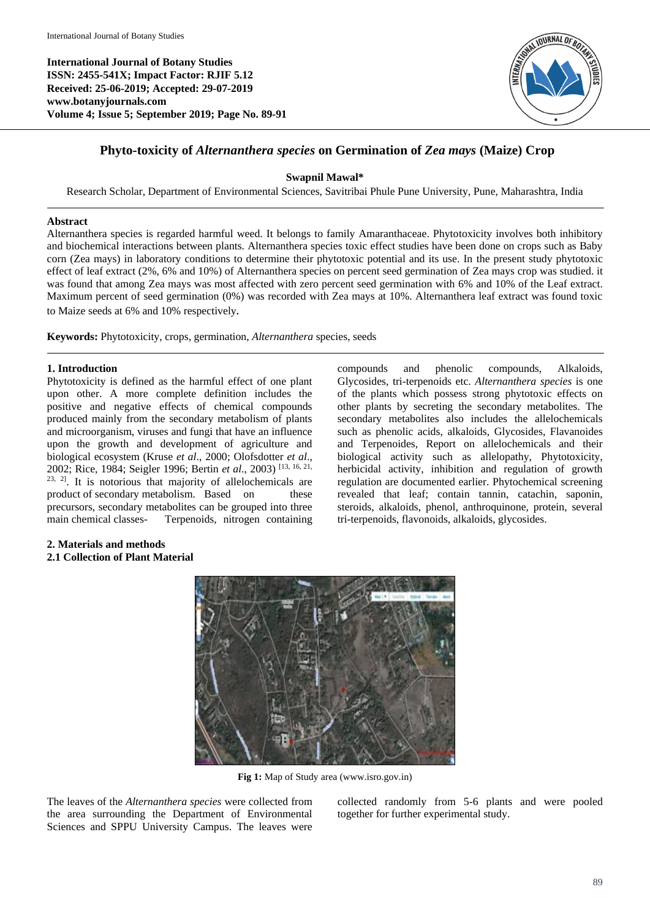**International Journal of Botany Studies ISSN: 2455-541X; Impact Factor: RJIF 5.12 Received: 25-06-2019; Accepted: 29-07-2019 www.botanyjournals.com Volume 4; Issue 5; September 2019; Page No. 89-91**



# **Phyto-toxicity of** *Alternanthera species* **on Germination of** *Zea mays* **(Maize) Crop**

# **Swapnil Mawal\***

Research Scholar, Department of Environmental Sciences, Savitribai Phule Pune University, Pune, Maharashtra, India

### **Abstract**

Alternanthera species is regarded harmful weed. It belongs to family Amaranthaceae. Phytotoxicity involves both inhibitory and biochemical interactions between plants. Alternanthera species toxic effect studies have been done on crops such as Baby corn (Zea mays) in laboratory conditions to determine their phytotoxic potential and its use. In the present study phytotoxic effect of leaf extract (2%, 6% and 10%) of Alternanthera species on percent seed germination of Zea mays crop was studied. it was found that among Zea mays was most affected with zero percent seed germination with 6% and 10% of the Leaf extract. Maximum percent of seed germination (0%) was recorded with Zea mays at 10%. Alternanthera leaf extract was found toxic to Maize seeds at 6% and 10% respectively*.*

**Keywords:** Phytotoxicity, crops, germination, *Alternanthera* species, seeds

# **1. Introduction**

Phytotoxicity is defined as the harmful effect of one plant upon other. A more complete definition includes the positive and negative effects of chemical compounds produced mainly from the secondary metabolism of plants and microorganism, viruses and fungi that have an influence upon the growth and development of agriculture and biological ecosystem (Kruse *et al*., 2000; Olofsdotter *et al*., 2002; Rice, 1984; Seigler 1996; Bertin *et al*., 2003) [13, 16, 21, 23, 2]. It is notorious that majority of allelochemicals are product of secondary metabolism. Based on these precursors, secondary metabolites can be grouped into three main chemical classes- Terpenoids, nitrogen containing compounds and phenolic compounds, Alkaloids, Glycosides, tri-terpenoids etc. *Alternanthera species* is one of the plants which possess strong phytotoxic effects on other plants by secreting the secondary metabolites. The secondary metabolites also includes the allelochemicals such as phenolic acids, alkaloids, Glycosides, Flavanoides and Terpenoides, Report on allelochemicals and their biological activity such as allelopathy, Phytotoxicity, herbicidal activity, inhibition and regulation of growth regulation are documented earlier. Phytochemical screening revealed that leaf; contain tannin, catachin, saponin, steroids, alkaloids, phenol, anthroquinone, protein, several tri-terpenoids, flavonoids, alkaloids, glycosides.

### **2. Materials and methods 2.1 Collection of Plant Material**



**Fig 1:** Map of Study area (www.isro.gov.in)

The leaves of the *Alternanthera species* were collected from the area surrounding the Department of Environmental Sciences and SPPU University Campus. The leaves were collected randomly from 5-6 plants and were pooled together for further experimental study.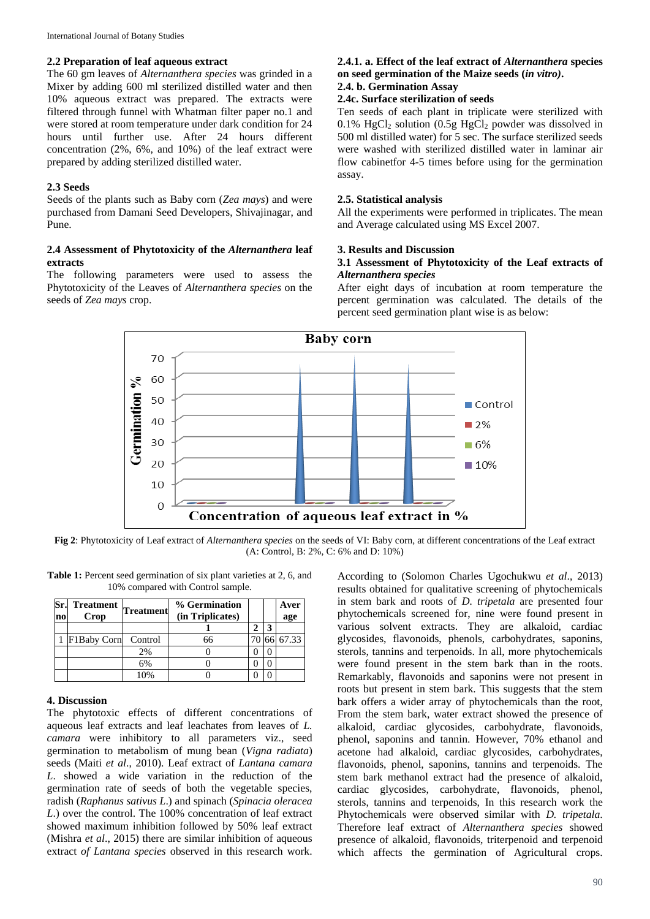International Journal of Botany Studies

#### **2.2 Preparation of leaf aqueous extract**

The 60 gm leaves of *Alternanthera species* was grinded in a Mixer by adding 600 ml sterilized distilled water and then 10% aqueous extract was prepared. The extracts were filtered through funnel with Whatman filter paper no.1 and were stored at room temperature under dark condition for 24 hours until further use. After 24 hours different concentration (2%, 6%, and 10%) of the leaf extract were prepared by adding sterilized distilled water.

### **2.3 Seeds**

Seeds of the plants such as Baby corn (*Zea mays*) and were purchased from Damani Seed Developers, Shivajinagar, and Pune.

# **2.4 Assessment of Phytotoxicity of the** *Alternanthera* **leaf extracts**

The following parameters were used to assess the Phytotoxicity of the Leaves of *Alternanthera species* on the seeds of *Zea mays* crop.

# **2.4.1. a. Effect of the leaf extract of** *Alternanthera* **species on seed germination of the Maize seeds (***in vitro)***.**

# **2.4. b. Germination Assay**

# **2.4c. Surface sterilization of seeds**

Ten seeds of each plant in triplicate were sterilized with 0.1%  $HgCl<sub>2</sub>$  solution (0.5g  $HgCl<sub>2</sub>$  powder was dissolved in 500 ml distilled water) for 5 sec. The surface sterilized seeds were washed with sterilized distilled water in laminar air flow cabinetfor 4-5 times before using for the germination assay.

### **2.5. Statistical analysis**

All the experiments were performed in triplicates. The mean and Average calculated using MS Excel 2007.

### **3. Results and Discussion**

### **3.1 Assessment of Phytotoxicity of the Leaf extracts of** *Alternanthera species*

After eight days of incubation at room temperature the percent germination was calculated. The details of the percent seed germination plant wise is as below:



**Fig 2**: Phytotoxicity of Leaf extract of *Alternanthera species* on the seeds of VI: Baby corn, at different concentrations of the Leaf extract (A: Control, B: 2%, C: 6% and D: 10%)

| <b>Table 1:</b> Percent seed germination of six plant varieties at 2, 6, and |
|------------------------------------------------------------------------------|
| 10% compared with Control sample.                                            |

| Sr.<br>n <sub>0</sub> | <b>Treatment</b><br>Crop | <b>Treatment</b> | % Germination<br>(in Triplicates) |  | Aver<br>age |
|-----------------------|--------------------------|------------------|-----------------------------------|--|-------------|
|                       |                          |                  |                                   |  |             |
|                       | F1Baby Corn Control      |                  | 66                                |  | 67.33       |
|                       |                          | 2%               |                                   |  |             |
|                       |                          | 6%               |                                   |  |             |
|                       |                          | 10%              |                                   |  |             |

#### **4. Discussion**

The phytotoxic effects of different concentrations of aqueous leaf extracts and leaf leachates from leaves of *L. camara* were inhibitory to all parameters viz., seed germination to metabolism of mung bean (*Vigna radiata*) seeds (Maiti *et al*., 2010). Leaf extract of *Lantana camara L*. showed a wide variation in the reduction of the germination rate of seeds of both the vegetable species, radish (*Raphanus sativus L*.) and spinach (*Spinacia oleracea L*.) over the control. The 100% concentration of leaf extract showed maximum inhibition followed by 50% leaf extract (Mishra *et al*., 2015) there are similar inhibition of aqueous extract *of Lantana species* observed in this research work.

According to (Solomon Charles Ugochukwu *et al*., 2013) results obtained for qualitative screening of phytochemicals in stem bark and roots of *D. tripetala* are presented four phytochemicals screened for, nine were found present in various solvent extracts. They are alkaloid, cardiac glycosides, flavonoids, phenols, carbohydrates, saponins, sterols, tannins and terpenoids. In all, more phytochemicals were found present in the stem bark than in the roots. Remarkably, flavonoids and saponins were not present in roots but present in stem bark. This suggests that the stem bark offers a wider array of phytochemicals than the root, From the stem bark, water extract showed the presence of alkaloid, cardiac glycosides, carbohydrate, flavonoids, phenol, saponins and tannin. However, 70% ethanol and acetone had alkaloid, cardiac glycosides, carbohydrates, flavonoids, phenol, saponins, tannins and terpenoids. The stem bark methanol extract had the presence of alkaloid, cardiac glycosides, carbohydrate, flavonoids, phenol, sterols, tannins and terpenoids, In this research work the Phytochemicals were observed similar with *D. tripetala*. Therefore leaf extract of *Alternanthera species* showed presence of alkaloid, flavonoids, triterpenoid and terpenoid which affects the germination of Agricultural crops.